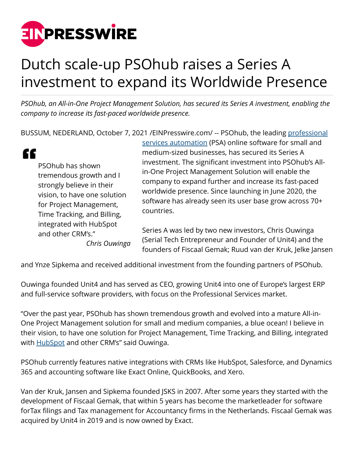

## Dutch scale-up PSOhub raises a Series A investment to expand its Worldwide Presence

*PSOhub, an All-in-One Project Management Solution, has secured its Series A investment, enabling the company to increase its fast-paced worldwide presence.*

BUSSUM, NEDERLAND, October 7, 2021 [/EINPresswire.com/](http://www.einpresswire.com) -- PSOhub, the leading [professional](https://www.psohub.com/en/what-is-psa-software)

|                                                                                                                                                                    | services automation (PSA) online software for small and                                                                                                                                                                                                                                                                                                         |
|--------------------------------------------------------------------------------------------------------------------------------------------------------------------|-----------------------------------------------------------------------------------------------------------------------------------------------------------------------------------------------------------------------------------------------------------------------------------------------------------------------------------------------------------------|
| PSOhub has shown<br>tremendous growth and I<br>strongly believe in their<br>vision, to have one solution<br>for Project Management,<br>Time Tracking, and Billing, | medium-sized businesses, has secured its Series A<br>investment. The significant investment into PSOhub's All-<br>in-One Project Management Solution will enable the<br>company to expand further and increase its fast-paced<br>worldwide presence. Since launching in June 2020, the<br>software has already seen its user base grow across 70+<br>countries. |
| integrated with HubSpot<br>and other CRM's."<br>Chris Ouwinga                                                                                                      | Series A was led by two new investors, Chris Ouwinga<br>(Serial Tech Entrepreneur and Founder of Unit4) and the<br>founders of Fiscaal Gemak; Ruud van der Kruk, Jelke Jansen                                                                                                                                                                                   |

and Ynze Sipkema and received additional investment from the founding partners of PSOhub.

Ouwinga founded Unit4 and has served as CEO, growing Unit4 into one of Europe's largest ERP and full-service software providers, with focus on the Professional Services market.

"Over the past year, PSOhub has shown tremendous growth and evolved into a mature All-in-One Project Management solution for small and medium companies, a blue ocean! I believe in their vision, to have one solution for Project Management, Time Tracking, and Billing, integrated with **HubSpot** and other CRM's" said Ouwinga.

PSOhub currently features native integrations with CRMs like HubSpot, Salesforce, and Dynamics 365 and accounting software like Exact Online, QuickBooks, and Xero.

Van der Kruk, Jansen and Sipkema founded JSKS in 2007. After some years they started with the development of Fiscaal Gemak, that within 5 years has become the marketleader for software forTax filings and Tax management for Accountancy firms in the Netherlands. Fiscaal Gemak was acquired by Unit4 in 2019 and is now owned by Exact.